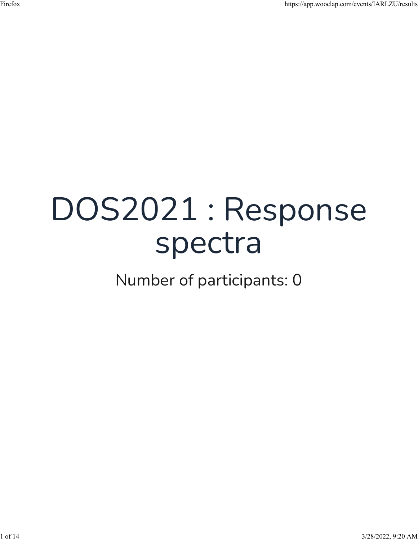## DOS2021 : Response spectra

Number of participants: 0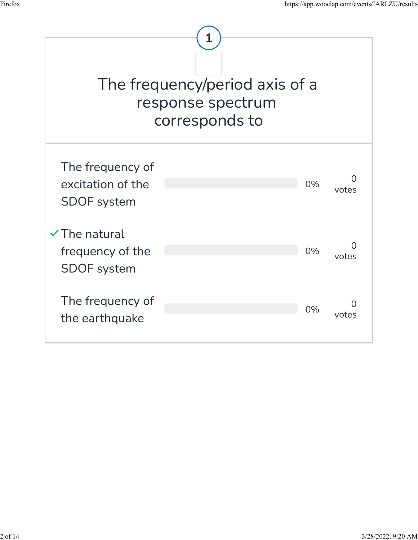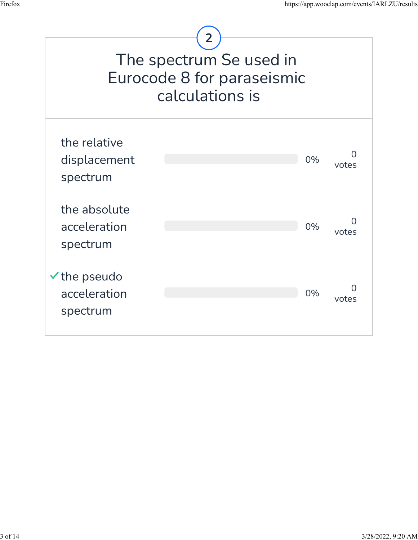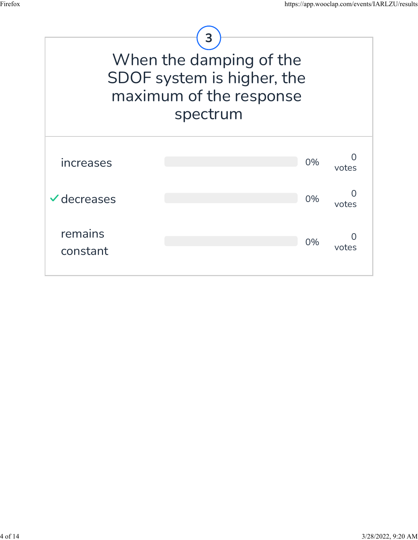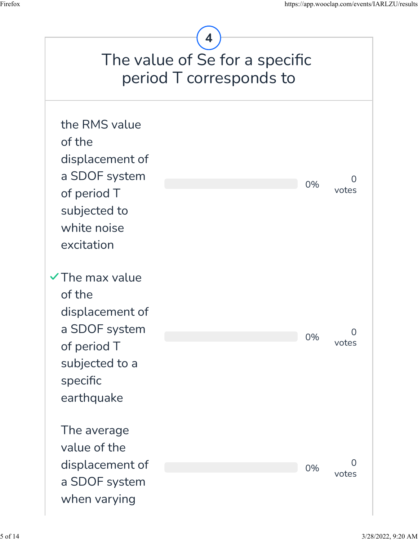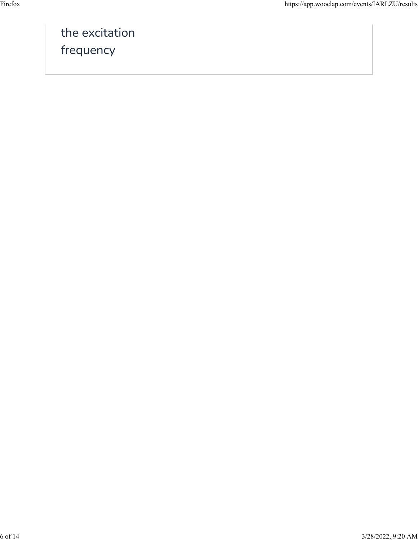the excitation frequency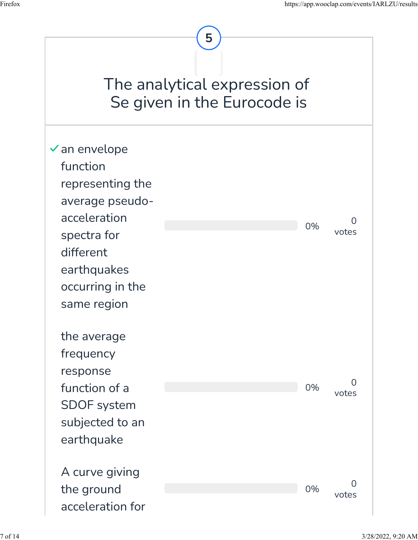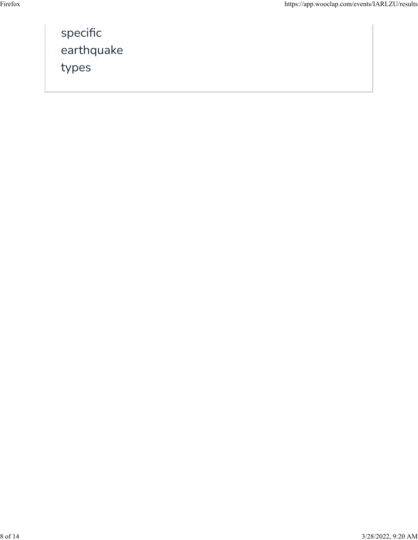| specific   |
|------------|
| earthquake |
| types      |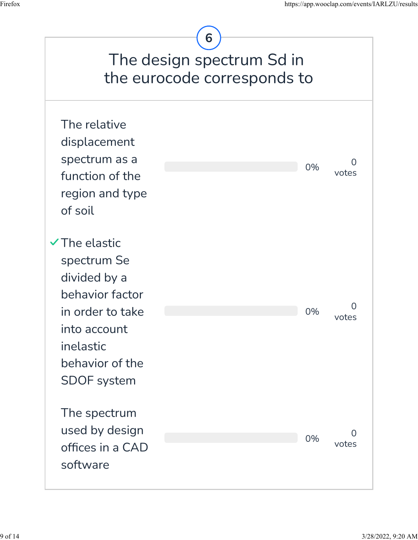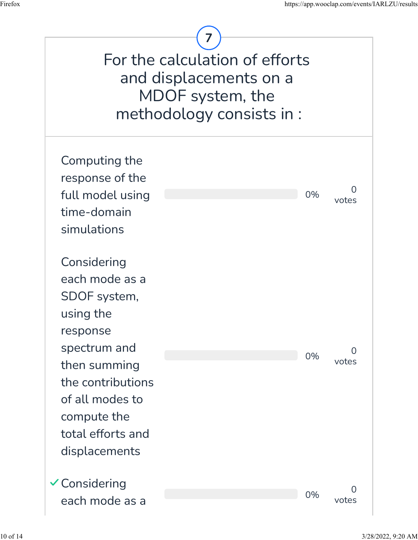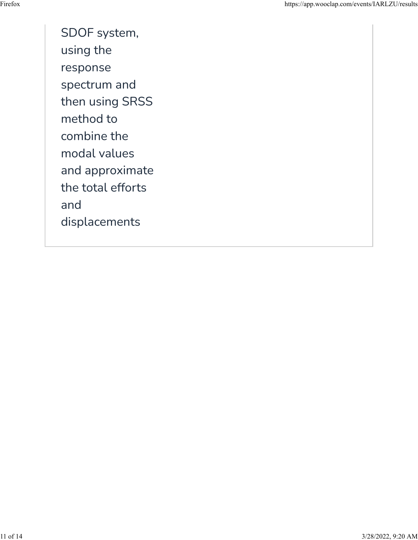SDOF system, using the response spectrum and then using SRSS method to combine the modal values and approximate the total efforts and displacements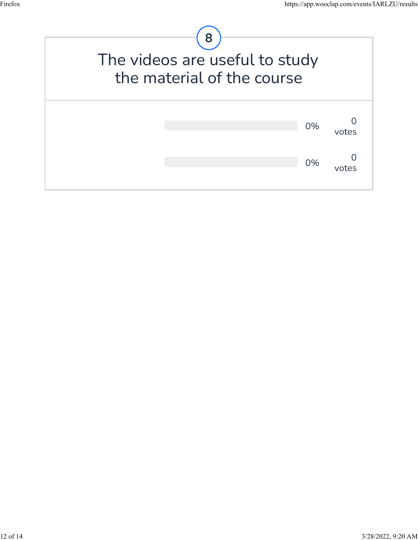